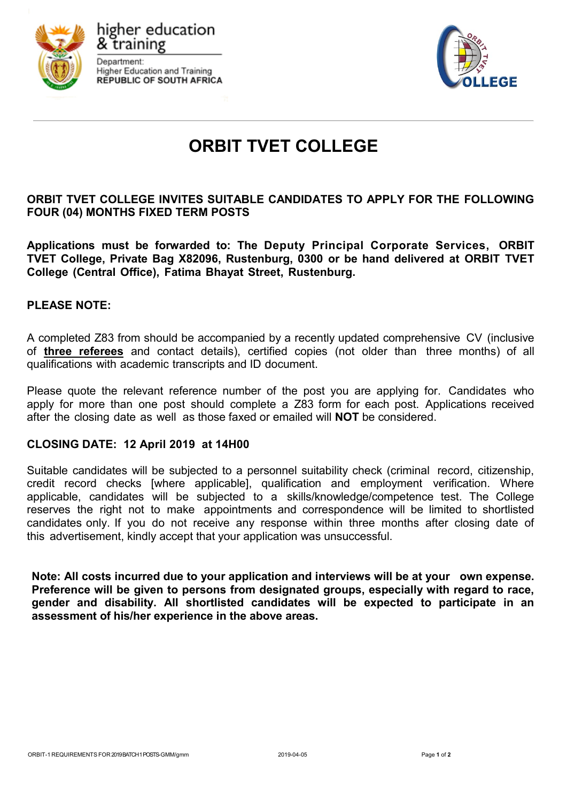





# **ORBIT TVET COLLEGE**

# **ORBIT TVET COLLEGE INVITES SUITABLE CANDIDATES TO APPLY FOR THE FOLLOWING FOUR (04) MONTHS FIXED TERM POSTS**

**Applications must be forwarded to: The Deputy Principal Corporate Services, ORBIT TVET College, Private Bag X82096, Rustenburg, 0300 or be hand delivered at ORBIT TVET College (Central Office), Fatima Bhayat Street, Rustenburg.**

# **PLEASE NOTE:**

A completed Z83 from should be accompanied by a recently updated comprehensive CV (inclusive of **three referees** and contact details), certified copies (not older than three months) of all qualifications with academic transcripts and ID document.

Please quote the relevant reference number of the post you are applying for. Candidates who apply for more than one post should complete a Z83 form for each post. Applications received after the closing date as well as those faxed or emailed will **NOT** be considered.

## **CLOSING DATE: 12 April 2019 at 14H00**

Suitable candidates will be subjected to a personnel suitability check (criminal record, citizenship, credit record checks [where applicable], qualification and employment verification. Where applicable, candidates will be subjected to a skills/knowledge/competence test. The College reserves the right not to make appointments and correspondence will be limited to shortlisted candidates only. If you do not receive any response within three months after closing date of this advertisement, kindly accept that your application was unsuccessful.

**Note: All costs incurred due to your application and interviews will be at your own expense. Preference will be given to persons from designated groups, especially with regard to race, gender and disability. All shortlisted candidates will be expected to participate in an assessment of his/her experience in the above areas.**